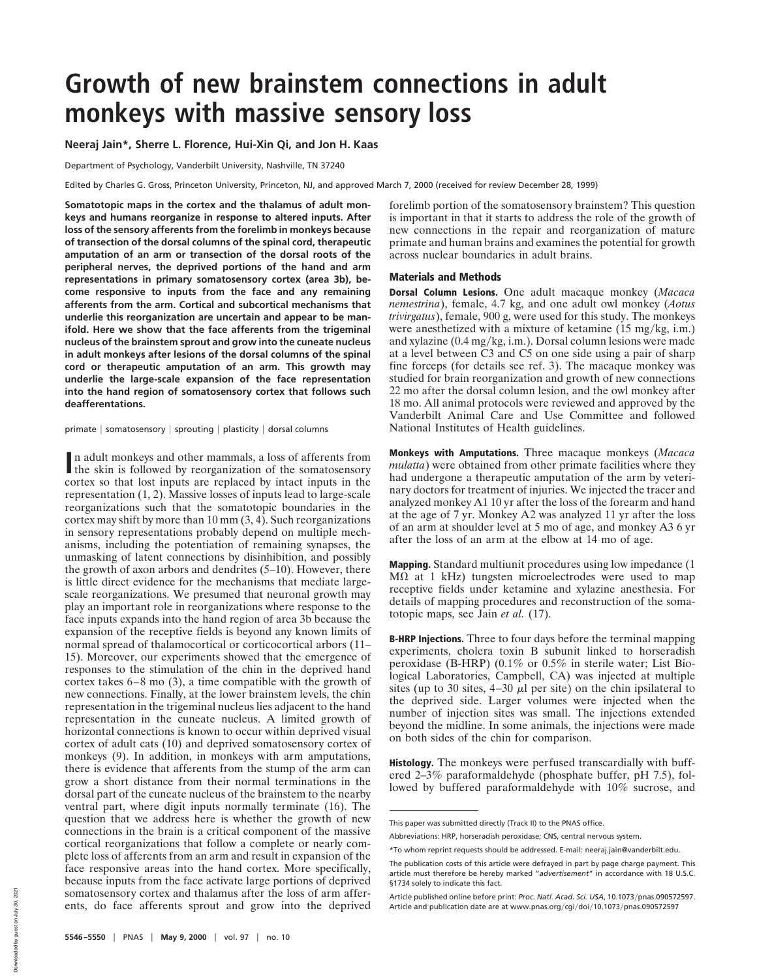# **Growth of new brainstem connections in adult monkeys with massive sensory loss**

## **Neeraj Jain\*, Sherre L. Florence, Hui-Xin Qi, and Jon H. Kaas**

Department of Psychology, Vanderbilt University, Nashville, TN 37240

Edited by Charles G. Gross, Princeton University, Princeton, NJ, and approved March 7, 2000 (received for review December 28, 1999)

**Somatotopic maps in the cortex and the thalamus of adult monkeys and humans reorganize in response to altered inputs. After loss of the sensory afferents from the forelimb in monkeys because of transection of the dorsal columns of the spinal cord, therapeutic amputation of an arm or transection of the dorsal roots of the peripheral nerves, the deprived portions of the hand and arm representations in primary somatosensory cortex (area 3b), become responsive to inputs from the face and any remaining afferents from the arm. Cortical and subcortical mechanisms that underlie this reorganization are uncertain and appear to be manifold. Here we show that the face afferents from the trigeminal nucleus of the brainstem sprout and grow into the cuneate nucleus in adult monkeys after lesions of the dorsal columns of the spinal cord or therapeutic amputation of an arm. This growth may underlie the large-scale expansion of the face representation into the hand region of somatosensory cortex that follows such deafferentations.**

primate  $|$  somatosensory  $|$  sprouting  $|$  plasticity  $|$  dorsal columns

In adult monkeys and other mammals, a loss of afferents from the skin is followed by reorganization of the somatosensory the skin is followed by reorganization of the somatosensory cortex so that lost inputs are replaced by intact inputs in the representation (1, 2). Massive losses of inputs lead to large-scale reorganizations such that the somatotopic boundaries in the cortex may shift by more than 10 mm (3, 4). Such reorganizations in sensory representations probably depend on multiple mechanisms, including the potentiation of remaining synapses, the unmasking of latent connections by disinhibition, and possibly the growth of axon arbors and dendrites (5–10). However, there is little direct evidence for the mechanisms that mediate largescale reorganizations. We presumed that neuronal growth may play an important role in reorganizations where response to the face inputs expands into the hand region of area 3b because the expansion of the receptive fields is beyond any known limits of normal spread of thalamocortical or corticocortical arbors (11– 15). Moreover, our experiments showed that the emergence of responses to the stimulation of the chin in the deprived hand cortex takes 6–8 mo (3), a time compatible with the growth of new connections. Finally, at the lower brainstem levels, the chin representation in the trigeminal nucleus lies adjacent to the hand representation in the cuneate nucleus. A limited growth of horizontal connections is known to occur within deprived visual cortex of adult cats (10) and deprived somatosensory cortex of monkeys (9). In addition, in monkeys with arm amputations, there is evidence that afferents from the stump of the arm can grow a short distance from their normal terminations in the dorsal part of the cuneate nucleus of the brainstem to the nearby ventral part, where digit inputs normally terminate (16). The question that we address here is whether the growth of new connections in the brain is a critical component of the massive cortical reorganizations that follow a complete or nearly complete loss of afferents from an arm and result in expansion of the face responsive areas into the hand cortex. More specifically, because inputs from the face activate large portions of deprived somatosensory cortex and thalamus after the loss of arm afferents, do face afferents sprout and grow into the deprived

forelimb portion of the somatosensory brainstem? This question is important in that it starts to address the role of the growth of new connections in the repair and reorganization of mature primate and human brains and examines the potential for growth across nuclear boundaries in adult brains.

### Materials and Methods

Dorsal Column Lesions. One adult macaque monkey (*Macaca nemestrina*), female, 4.7 kg, and one adult owl monkey (*Aotus trivirgatus*), female, 900 g, were used for this study. The monkeys were anesthetized with a mixture of ketamine  $(15 \text{ mg/kg}, i.m.)$ and xylazine  $(0.4 \text{ mg/kg}, i.m.)$ . Dorsal column lesions were made at a level between C3 and C5 on one side using a pair of sharp fine forceps (for details see ref. 3). The macaque monkey was studied for brain reorganization and growth of new connections 22 mo after the dorsal column lesion, and the owl monkey after 18 mo. All animal protocols were reviewed and approved by the Vanderbilt Animal Care and Use Committee and followed National Institutes of Health guidelines.

Monkeys with Amputations. Three macaque monkeys (*Macaca mulatta*) were obtained from other primate facilities where they had undergone a therapeutic amputation of the arm by veterinary doctors for treatment of injuries. We injected the tracer and analyzed monkey A1 10 yr after the loss of the forearm and hand at the age of 7 yr. Monkey A2 was analyzed 11 yr after the loss of an arm at shoulder level at 5 mo of age, and monkey A3 6 yr after the loss of an arm at the elbow at 14 mo of age.

Mapping. Standard multiunit procedures using low impedance (1  $M\Omega$  at 1 kHz) tungsten microelectrodes were used to map receptive fields under ketamine and xylazine anesthesia. For details of mapping procedures and reconstruction of the somatotopic maps, see Jain *et al.* (17).

**B-HRP Injections.** Three to four days before the terminal mapping experiments, cholera toxin B subunit linked to horseradish peroxidase (B-HRP) (0.1% or 0.5% in sterile water; List Biological Laboratories, Campbell, CA) was injected at multiple sites (up to 30 sites,  $4-30 \mu l$  per site) on the chin ipsilateral to the deprived side. Larger volumes were injected when the number of injection sites was small. The injections extended beyond the midline. In some animals, the injections were made on both sides of the chin for comparison.

Histology. The monkeys were perfused transcardially with buffered 2–3% paraformaldehyde (phosphate buffer, pH 7.5), followed by buffered paraformaldehyde with 10% sucrose, and

This paper was submitted directly (Track II) to the PNAS office.

Abbreviations: HRP, horseradish peroxidase; CNS, central nervous system.

<sup>\*</sup>To whom reprint requests should be addressed. E-mail: neeraj.jain@vanderbilt.edu.

The publication costs of this article were defrayed in part by page charge payment. This article must therefore be hereby marked "*advertisement*" in accordance with 18 U.S.C. §1734 solely to indicate this fact.

Article published online before print: Proc. Natl. Acad. Sci. USA, 10.1073/pnas.090572597. Article and publication date are at www.pnas.org/cgi/doi/10.1073/pnas.090572597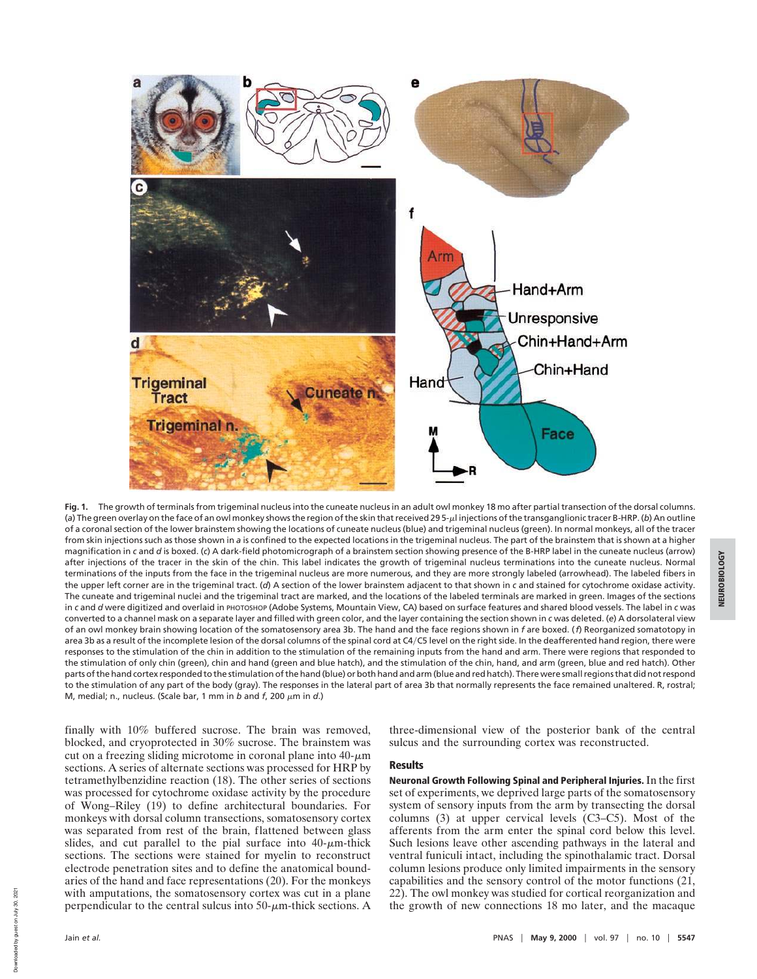

**Fig. 1.** The growth of terminals from trigeminal nucleus into the cuneate nucleus in an adult owl monkey 18 mo after partial transection of the dorsal columns. (*a*) The green overlay on the face of an owl monkey shows the region of the skin that received 29 5-ml injections of the transganglionic tracer B-HRP. (*b*) An outline of a coronal section of the lower brainstem showing the locations of cuneate nucleus (blue) and trigeminal nucleus (green). In normal monkeys, all of the tracer from skin injections such as those shown in *a* is confined to the expected locations in the trigeminal nucleus. The part of the brainstem that is shown at a higher magnification in *c* and *d* is boxed. (*c*) A dark-field photomicrograph of a brainstem section showing presence of the B-HRP label in the cuneate nucleus (arrow) after injections of the tracer in the skin of the chin. This label indicates the growth of trigeminal nucleus terminations into the cuneate nucleus. Normal terminations of the inputs from the face in the trigeminal nucleus are more numerous, and they are more strongly labeled (arrowhead). The labeled fibers in the upper left corner are in the trigeminal tract. (*d*) A section of the lower brainstem adjacent to that shown in *c* and stained for cytochrome oxidase activity. The cuneate and trigeminal nuclei and the trigeminal tract are marked, and the locations of the labeled terminals are marked in green. Images of the sections in *c* and *d* were digitized and overlaid in PHOTOSHOP (Adobe Systems, Mountain View, CA) based on surface features and shared blood vessels. The label in *c* was converted to a channel mask on a separate layer and filled with green color, and the layer containing the section shown in *c* was deleted. (*e*) A dorsolateral view of an owl monkey brain showing location of the somatosensory area 3b. The hand and the face regions shown in *f* are boxed. (*f*) Reorganized somatotopy in area 3b as a result of the incomplete lesion of the dorsal columns of the spinal cord at C4/C5 level on the right side. In the deafferented hand region, there were responses to the stimulation of the chin in addition to the stimulation of the remaining inputs from the hand and arm. There were regions that responded to the stimulation of only chin (green), chin and hand (green and blue hatch), and the stimulation of the chin, hand, and arm (green, blue and red hatch). Other parts of the hand cortex responded to the stimulation of the hand (blue) or both hand and arm (blue and red hatch). There were small regions that did not respond to the stimulation of any part of the body (gray). The responses in the lateral part of area 3b that normally represents the face remained unaltered. R, rostral; M, medial; n., nucleus. (Scale bar, 1 mm in  $b$  and  $f$ , 200  $\mu$ m in  $d$ .)

finally with 10% buffered sucrose. The brain was removed, blocked, and cryoprotected in 30% sucrose. The brainstem was cut on a freezing sliding microtome in coronal plane into  $40-\mu m$ sections. A series of alternate sections was processed for HRP by tetramethylbenzidine reaction (18). The other series of sections was processed for cytochrome oxidase activity by the procedure of Wong–Riley (19) to define architectural boundaries. For monkeys with dorsal column transections, somatosensory cortex was separated from rest of the brain, flattened between glass slides, and cut parallel to the pial surface into  $40-\mu m$ -thick sections. The sections were stained for myelin to reconstruct electrode penetration sites and to define the anatomical boundaries of the hand and face representations (20). For the monkeys with amputations, the somatosensory cortex was cut in a plane perpendicular to the central sulcus into  $50-\mu m$ -thick sections. A three-dimensional view of the posterior bank of the central sulcus and the surrounding cortex was reconstructed.

#### **Results**

Neuronal Growth Following Spinal and Peripheral Injuries.In the first set of experiments, we deprived large parts of the somatosensory system of sensory inputs from the arm by transecting the dorsal columns (3) at upper cervical levels (C3–C5). Most of the afferents from the arm enter the spinal cord below this level. Such lesions leave other ascending pathways in the lateral and ventral funiculi intact, including the spinothalamic tract. Dorsal column lesions produce only limited impairments in the sensory capabilities and the sensory control of the motor functions (21, 22). The owl monkey was studied for cortical reorganization and the growth of new connections 18 mo later, and the macaque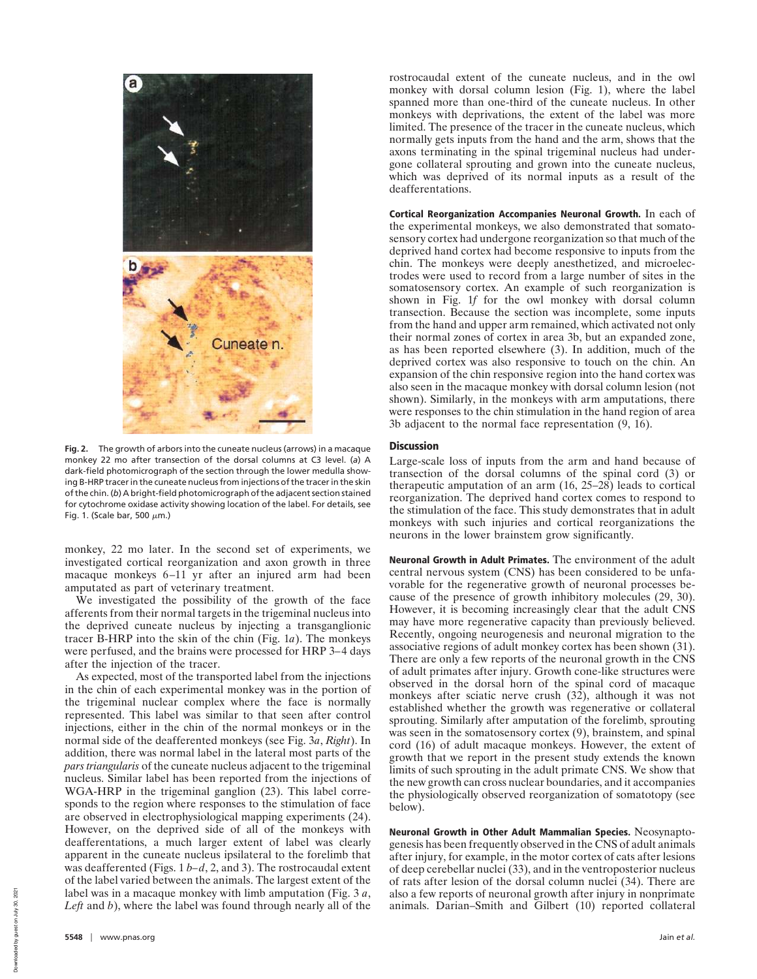

**Fig. 2.** The growth of arbors into the cuneate nucleus (arrows) in a macaque monkey 22 mo after transection of the dorsal columns at C3 level. (*a*) A dark-field photomicrograph of the section through the lower medulla showing B-HRP tracer in the cuneate nucleus from injections of the tracer in the skin of the chin. (*b*) A bright-field photomicrograph of the adjacent section stained for cytochrome oxidase activity showing location of the label. For details, see Fig. 1. (Scale bar, 500  $\mu$ m.)

monkey, 22 mo later. In the second set of experiments, we investigated cortical reorganization and axon growth in three macaque monkeys 6–11 yr after an injured arm had been amputated as part of veterinary treatment.

We investigated the possibility of the growth of the face afferents from their normal targets in the trigeminal nucleus into the deprived cuneate nucleus by injecting a transganglionic tracer B-HRP into the skin of the chin (Fig. 1*a*). The monkeys were perfused, and the brains were processed for HRP 3–4 days after the injection of the tracer.

As expected, most of the transported label from the injections in the chin of each experimental monkey was in the portion of the trigeminal nuclear complex where the face is normally represented. This label was similar to that seen after control injections, either in the chin of the normal monkeys or in the normal side of the deafferented monkeys (see Fig. 3*a*, *Right*). In addition, there was normal label in the lateral most parts of the *pars triangularis* of the cuneate nucleus adjacent to the trigeminal nucleus. Similar label has been reported from the injections of WGA-HRP in the trigeminal ganglion (23). This label corresponds to the region where responses to the stimulation of face are observed in electrophysiological mapping experiments (24). However, on the deprived side of all of the monkeys with deafferentations, a much larger extent of label was clearly apparent in the cuneate nucleus ipsilateral to the forelimb that was deafferented (Figs. 1 *b–d*, 2, and 3). The rostrocaudal extent of the label varied between the animals. The largest extent of the label was in a macaque monkey with limb amputation (Fig. 3 *a*, *Left* and *b*), where the label was found through nearly all of the

rostrocaudal extent of the cuneate nucleus, and in the owl monkey with dorsal column lesion (Fig. 1), where the label spanned more than one-third of the cuneate nucleus. In other monkeys with deprivations, the extent of the label was more limited. The presence of the tracer in the cuneate nucleus, which normally gets inputs from the hand and the arm, shows that the axons terminating in the spinal trigeminal nucleus had undergone collateral sprouting and grown into the cuneate nucleus, which was deprived of its normal inputs as a result of the deafferentations.

Cortical Reorganization Accompanies Neuronal Growth. In each of the experimental monkeys, we also demonstrated that somatosensory cortex had undergone reorganization so that much of the deprived hand cortex had become responsive to inputs from the chin. The monkeys were deeply anesthetized, and microelectrodes were used to record from a large number of sites in the somatosensory cortex. An example of such reorganization is shown in Fig. 1*f* for the owl monkey with dorsal column transection. Because the section was incomplete, some inputs from the hand and upper arm remained, which activated not only their normal zones of cortex in area 3b, but an expanded zone, as has been reported elsewhere (3). In addition, much of the deprived cortex was also responsive to touch on the chin. An expansion of the chin responsive region into the hand cortex was also seen in the macaque monkey with dorsal column lesion (not shown). Similarly, in the monkeys with arm amputations, there were responses to the chin stimulation in the hand region of area 3b adjacent to the normal face representation (9, 16).

#### Discussion

Large-scale loss of inputs from the arm and hand because of transection of the dorsal columns of the spinal cord (3) or therapeutic amputation of an arm  $(16, 25-28)$  leads to cortical reorganization. The deprived hand cortex comes to respond to the stimulation of the face. This study demonstrates that in adult monkeys with such injuries and cortical reorganizations the neurons in the lower brainstem grow significantly.

Neuronal Growth in Adult Primates. The environment of the adult central nervous system (CNS) has been considered to be unfavorable for the regenerative growth of neuronal processes because of the presence of growth inhibitory molecules (29, 30). However, it is becoming increasingly clear that the adult CNS may have more regenerative capacity than previously believed. Recently, ongoing neurogenesis and neuronal migration to the associative regions of adult monkey cortex has been shown (31). There are only a few reports of the neuronal growth in the CNS of adult primates after injury. Growth cone-like structures were observed in the dorsal horn of the spinal cord of macaque monkeys after sciatic nerve crush (32), although it was not established whether the growth was regenerative or collateral sprouting. Similarly after amputation of the forelimb, sprouting was seen in the somatosensory cortex (9), brainstem, and spinal cord (16) of adult macaque monkeys. However, the extent of growth that we report in the present study extends the known limits of such sprouting in the adult primate CNS. We show that the new growth can cross nuclear boundaries, and it accompanies the physiologically observed reorganization of somatotopy (see below).

Neuronal Growth in Other Adult Mammalian Species. Neosynaptogenesis has been frequently observed in the CNS of adult animals after injury, for example, in the motor cortex of cats after lesions of deep cerebellar nuclei (33), and in the ventroposterior nucleus of rats after lesion of the dorsal column nuclei (34). There are also a few reports of neuronal growth after injury in nonprimate animals. Darian–Smith and Gilbert (10) reported collateral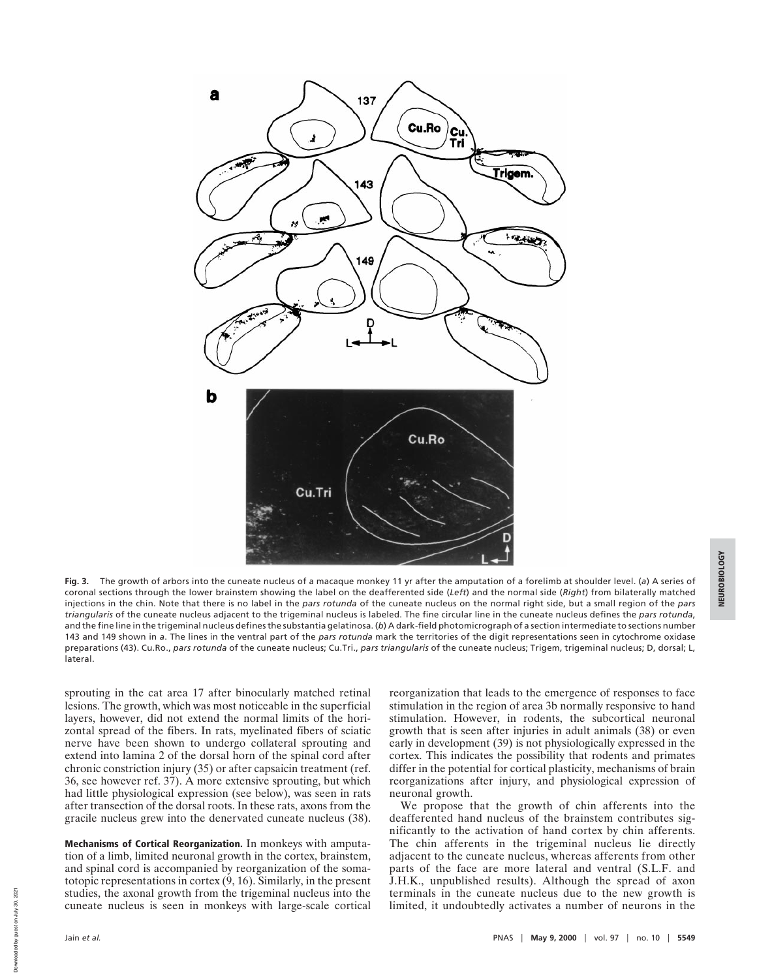

NEUROBIOLOGY **VEUROBIOLOGY** 

**Fig. 3.** The growth of arbors into the cuneate nucleus of a macaque monkey 11 yr after the amputation of a forelimb at shoulder level. (*a*) A series of coronal sections through the lower brainstem showing the label on the deafferented side (*Left*) and the normal side (*Right*) from bilaterally matched injections in the chin. Note that there is no label in the *pars rotunda* of the cuneate nucleus on the normal right side, but a small region of the *pars triangularis* of the cuneate nucleus adjacent to the trigeminal nucleus is labeled. The fine circular line in the cuneate nucleus defines the *pars rotunda*, and the fine line in the trigeminal nucleus defines the substantia gelatinosa. (*b*) A dark-field photomicrograph of a section intermediate to sections number 143 and 149 shown in *a*. The lines in the ventral part of the *pars rotunda* mark the territories of the digit representations seen in cytochrome oxidase preparations (43). Cu.Ro., *pars rotunda* of the cuneate nucleus; Cu.Tri., *pars triangularis* of the cuneate nucleus; Trigem, trigeminal nucleus; D, dorsal; L, **lateral** 

sprouting in the cat area 17 after binocularly matched retinal lesions. The growth, which was most noticeable in the superficial layers, however, did not extend the normal limits of the horizontal spread of the fibers. In rats, myelinated fibers of sciatic nerve have been shown to undergo collateral sprouting and extend into lamina 2 of the dorsal horn of the spinal cord after chronic constriction injury (35) or after capsaicin treatment (ref. 36, see however ref. 37). A more extensive sprouting, but which had little physiological expression (see below), was seen in rats after transection of the dorsal roots. In these rats, axons from the gracile nucleus grew into the denervated cuneate nucleus (38).

Mechanisms of Cortical Reorganization. In monkeys with amputation of a limb, limited neuronal growth in the cortex, brainstem, and spinal cord is accompanied by reorganization of the somatotopic representations in cortex (9, 16). Similarly, in the present studies, the axonal growth from the trigeminal nucleus into the cuneate nucleus is seen in monkeys with large-scale cortical

reorganization that leads to the emergence of responses to face stimulation in the region of area 3b normally responsive to hand stimulation. However, in rodents, the subcortical neuronal growth that is seen after injuries in adult animals (38) or even early in development (39) is not physiologically expressed in the cortex. This indicates the possibility that rodents and primates differ in the potential for cortical plasticity, mechanisms of brain reorganizations after injury, and physiological expression of neuronal growth.

We propose that the growth of chin afferents into the deafferented hand nucleus of the brainstem contributes significantly to the activation of hand cortex by chin afferents. The chin afferents in the trigeminal nucleus lie directly adjacent to the cuneate nucleus, whereas afferents from other parts of the face are more lateral and ventral (S.L.F. and J.H.K., unpublished results). Although the spread of axon terminals in the cuneate nucleus due to the new growth is limited, it undoubtedly activates a number of neurons in the